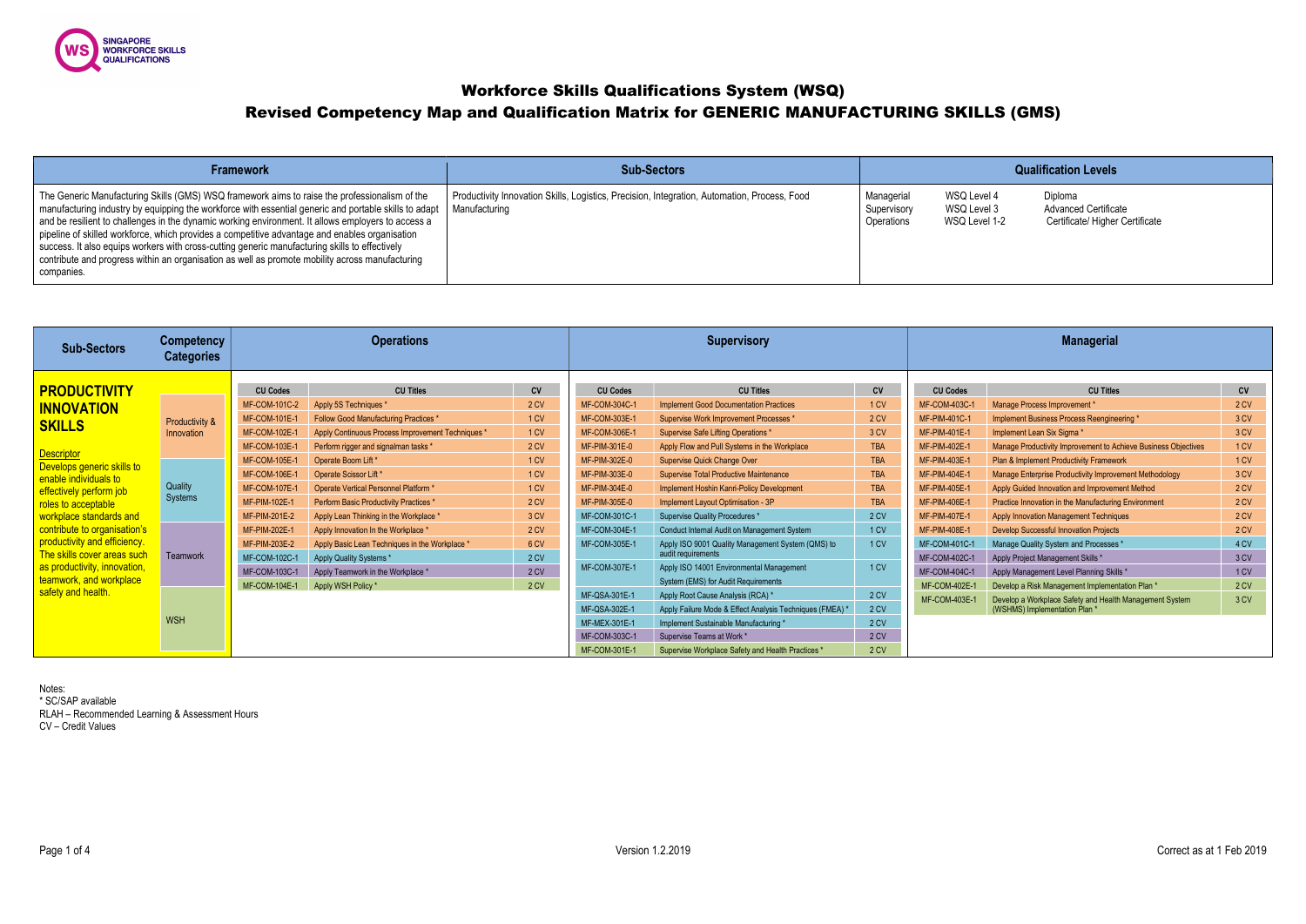

Workforce Skills Qualifications System (WSQ)

# Revised Competency Map and Qualification Matrix for GENERIC MANUFACTURING SKILLS (GMS)

| <b>Framework</b>                                                                                                                                                                                                                                                                                                                                                                                                                                                                                                                                                                                                                  | <b>Sub-Sectors</b>                                                                                            |                                         |                                            |
|-----------------------------------------------------------------------------------------------------------------------------------------------------------------------------------------------------------------------------------------------------------------------------------------------------------------------------------------------------------------------------------------------------------------------------------------------------------------------------------------------------------------------------------------------------------------------------------------------------------------------------------|---------------------------------------------------------------------------------------------------------------|-----------------------------------------|--------------------------------------------|
| The Generic Manufacturing Skills (GMS) WSQ framework aims to raise the professionalism of the<br>manufacturing industry by equipping the workforce with essential generic and portable skills to adapt<br>and be resilient to challenges in the dynamic working environment. It allows employers to access a<br>pipeline of skilled workforce, which provides a competitive advantage and enables organisation<br>success. It also equips workers with cross-cutting generic manufacturing skills to effectively<br>contribute and progress within an organisation as well as promote mobility across manufacturing<br>companies. | Productivity Innovation Skills, Logistics, Precision, Integration, Automation, Process, Food<br>Manufacturing | Managerial<br>Supervisory<br>Operations | <b>WSQ Level</b><br>WSQ Level<br>WSQ Level |

| <b>Sub-Sectors</b>                                                                                                                                                                                       | <b>Competency</b><br><b>Categories</b>  |                                                                                                                                     | <b>Operations</b>                                                                                                                                                                                                                                                                  |                                                                                            | <b>Supervisory</b>                                                                                                           |                                                                                                                                                                                                                                                                                         |                                                                             | <b>Managerial</b>                                                                                                                   |                                                                                                                                                                                                                                                                                                                                    |                                                      |  |
|----------------------------------------------------------------------------------------------------------------------------------------------------------------------------------------------------------|-----------------------------------------|-------------------------------------------------------------------------------------------------------------------------------------|------------------------------------------------------------------------------------------------------------------------------------------------------------------------------------------------------------------------------------------------------------------------------------|--------------------------------------------------------------------------------------------|------------------------------------------------------------------------------------------------------------------------------|-----------------------------------------------------------------------------------------------------------------------------------------------------------------------------------------------------------------------------------------------------------------------------------------|-----------------------------------------------------------------------------|-------------------------------------------------------------------------------------------------------------------------------------|------------------------------------------------------------------------------------------------------------------------------------------------------------------------------------------------------------------------------------------------------------------------------------------------------------------------------------|------------------------------------------------------|--|
| <b>PRODUCTIVITY</b><br><b>INNOVATION</b><br><b>SKILLS</b><br>Descriptor<br>Develops generic skills to<br>enable individuals to                                                                           | <b>Productivity &amp;</b><br>Innovation | <b>CU Codes</b><br>MF-COM-101C-2<br>MF-COM-101E-1<br>MF-COM-102E-1<br>MF-COM-103E-1<br><b>MF-COM-105E-1</b><br><b>MF-COM-106E-1</b> | <b>CU Titles</b><br>Apply 5S Techniques *<br>Follow Good Manufacturing Practices *<br>Apply Continuous Process Improvement Techniques *<br>Perform rigger and signalman tasks *<br>Operate Boom Lift *<br>Operate Scissor Lift*                                                    | <b>CV</b><br>2 CV<br>1 CV<br>1 <sub>CV</sub><br>2 CV<br>1 <sub>CV</sub><br>1 <sub>CV</sub> | <b>CU Codes</b><br><b>MF-COM-304C-1</b><br>MF-COM-303E-1<br>MF-COM-306E-1<br>MF-PIM-301E-0<br>MF-PIM-302E-0<br>MF-PIM-303E-0 | <b>CU Titles</b><br><b>Implement Good Documentation Practices</b><br>Supervise Work Improvement Processes *<br>Supervise Safe Lifting Operations *<br>Apply Flow and Pull Systems in the Workplace<br>Supervise Quick Change Over<br><b>Supervise Total Productive Maintenance</b>      | <b>CV</b><br>1 CV<br>2 CV<br>3 CV<br><b>TBA</b><br><b>TBA</b><br><b>TBA</b> | <b>CU Codes</b><br><b>MF-COM-403C-1</b><br><b>MF-PIM-401C-1</b><br>MF-PIM-401E-1<br>MF-PIM-402E-1<br>MF-PIM-403E-1<br>MF-PIM-404E-1 | <b>CU Titles</b><br>Manage Process Improvement *<br>Implement Business Process Reengineering *<br>Implement Lean Six Sigma *<br>Manage Productivity Improvement to Achieve Business Objectives<br>Plan & Implement Productivity Framework<br>Manage Enterprise Productivity Improvement Methodology                                | CV<br>2 CV<br>3 CV<br>3 CV<br>1 CV<br>1 CV<br>3 CV   |  |
| effectively perform job<br>roles to acceptable<br>workplace standards and<br>contribute to organisation's<br>productivity and efficiency.<br>The skills cover areas such<br>as productivity, innovation, | Quality<br>Systems<br>Teamwork          | <b>MF-COM-107E-1</b><br>MF-PIM-102E-1<br>MF-PIM-201E-2<br>MF-PIM-202E-1<br>MF-PIM-203E-2<br>MF-COM-102C-1<br><b>MF-COM-103C-1</b>   | Operate Vertical Personnel Platform *<br>Perform Basic Productivity Practices *<br>Apply Lean Thinking in the Workplace *<br>Apply Innovation In the Workplace *<br>Apply Basic Lean Techniques in the Workplace *<br>Apply Quality Systems *<br>Apply Teamwork in the Workplace ' | 1 CV<br>2 CV<br>3 CV<br>2 CV<br>6 CV<br>2 CV<br>2 CV                                       | MF-PIM-304E-0<br>MF-PIM-305E-0<br>MF-COM-301C-1<br>MF-COM-304E-1<br>MF-COM-305E-1<br>MF-COM-307E-1                           | Implement Hoshin Kanri-Policy Development<br>Implement Layout Optimisation - 3P<br>Supervise Quality Procedures *<br>Conduct Internal Audit on Management System<br>Apply ISO 9001 Quality Management System (QMS) to<br>audit requirements<br>Apply ISO 14001 Environmental Management | <b>TBA</b><br><b>TBA</b><br>2 CV<br>1 CV<br>1 CV<br>1 CV                    | MF-PIM-405E-1<br><b>MF-PIM-406E-1</b><br>MF-PIM-407E-1<br><b>MF-PIM-408E-1</b><br>MF-COM-401C-1<br>MF-COM-402C-1<br>MF-COM-404C-1   | Apply Guided Innovation and Improvement Method<br>Practice Innovation in the Manufacturing Environment<br><b>Apply Innovation Management Techniques</b><br><b>Develop Successful Innovation Projects</b><br>Manage Quality System and Processes *<br>Apply Project Management Skills *<br>Apply Management Level Planning Skills * | 2 CV<br>2 CV<br>2 CV<br>2 CV<br>4 CV<br>3 CV<br>1 CV |  |
| teamwork, and workplace<br>safety and health.                                                                                                                                                            | <b>WSH</b>                              | <b>MF-COM-104E-1</b>                                                                                                                | Apply WSH Policy *                                                                                                                                                                                                                                                                 | 2 CV                                                                                       | MF-QSA-301E-1<br>MF-QSA-302E-1<br>MF-MEX-301E-1<br>MF-COM-303C-1<br>MF-COM-301E-1                                            | System (EMS) for Audit Requirements<br>Apply Root Cause Analysis (RCA) *<br>Apply Failure Mode & Effect Analysis Techniques (FMEA) *<br>Implement Sustainable Manufacturing *<br>Supervise Teams at Work *<br>Supervise Workplace Safety and Health Practices *                         | 2 CV<br>2 CV<br>2 CV<br>2 CV<br>2 CV                                        | MF-COM-402E-1<br>MF-COM-403E-1                                                                                                      | Develop a Risk Management Implementation Plan *<br>Develop a Workplace Safety and Health Management System<br>(WSHMS) Implementation Plan *                                                                                                                                                                                        | 2 CV<br>3 CV                                         |  |

Notes: \* SC/SAP available RLAH – Recommended Learning & Assessment Hours CV – Credit Values

### **Qualification Levels**

14 Diploma<br>13 Advanced ان<br>I 1-2 **Advanced Certificate**<br>I 1-2 **Certificate/ Higher C**e **Certificate/ Higher Certificate**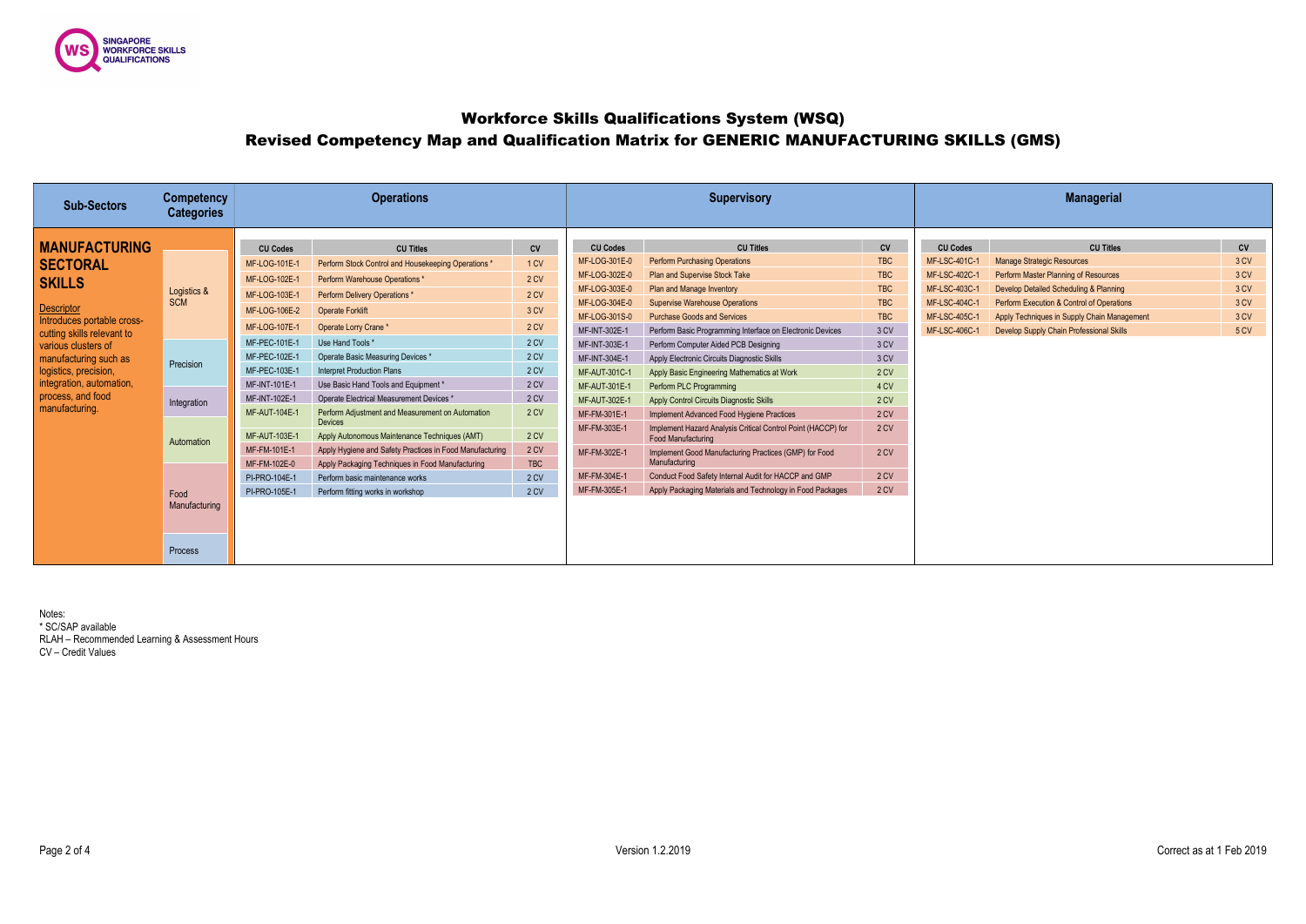

# Workforce Skills Qualifications System (WSQ) Revised Competency Map and Qualification Matrix for GENERIC MANUFACTURING SKILLS (GMS)

| <b>Sub-Sectors</b>         | <b>Competency</b><br><b>Categories</b> | <b>Operations</b>                                                                                                                          |                                                                    |              | <b>Supervisory</b>                                    |                                                                                           |            | <b>Managerial</b> |                                             |      |  |
|----------------------------|----------------------------------------|--------------------------------------------------------------------------------------------------------------------------------------------|--------------------------------------------------------------------|--------------|-------------------------------------------------------|-------------------------------------------------------------------------------------------|------------|-------------------|---------------------------------------------|------|--|
|                            |                                        |                                                                                                                                            |                                                                    |              |                                                       |                                                                                           |            |                   |                                             |      |  |
| <b>MANUFACTURING</b>       |                                        | <b>CU Codes</b>                                                                                                                            | <b>CU Titles</b>                                                   | <b>CV</b>    | <b>CU Codes</b>                                       | <b>CU Titles</b>                                                                          | CV         | <b>CU Codes</b>   | <b>CU Titles</b>                            | CV   |  |
| <b>SECTORAL</b>            |                                        | MF-LOG-101E-1                                                                                                                              | Perform Stock Control and Housekeeping Operations *                | 1 CV         | MF-LOG-301E-0                                         | <b>Perform Purchasing Operations</b>                                                      | <b>TBC</b> | MF-LSC-401C-1     | <b>Manage Strategic Resources</b>           | 3 CV |  |
| <b>SKILLS</b>              |                                        | MF-LOG-102E-1                                                                                                                              | Perform Warehouse Operations *                                     | 2 CV         | MF-LOG-302E-0                                         | <b>Plan and Supervise Stock Take</b>                                                      | <b>TBC</b> | MF-LSC-402C-1     | <b>Perform Master Planning of Resources</b> | 3 CV |  |
|                            | Logistics &                            | MF-LOG-103E-1                                                                                                                              | Perform Delivery Operations *                                      | 2 CV         | MF-LOG-303E-0                                         | Plan and Manage Inventory                                                                 | <b>TBC</b> | MF-LSC-403C-1     | Develop Detailed Scheduling & Planning      | 3 CV |  |
| <b>Descriptor</b>          | <b>SCM</b>                             | MF-LOG-106E-2                                                                                                                              | <b>Operate Forklift</b>                                            | 3 CV         | MF-LOG-304E-0                                         | <b>Supervise Warehouse Operations</b>                                                     | <b>TBC</b> | MF-LSC-404C-1     | Perform Execution & Control of Operations   | 3 CV |  |
| Introduces portable cross- |                                        | MF-LOG-107E-1                                                                                                                              | Operate Lorry Crane *                                              | 2 CV         | MF-LOG-301S-0                                         | <b>Purchase Goods and Services</b>                                                        | <b>TBC</b> | MF-LSC-405C-1     | Apply Techniques in Supply Chain Management | 3 CV |  |
| cutting skills relevant to |                                        |                                                                                                                                            |                                                                    |              | MF-INT-302E-1                                         | Perform Basic Programming Interface on Electronic Devices                                 | 3 CV       | MF-LSC-406C-1     | Develop Supply Chain Professional Skills    | 5 CV |  |
| various clusters of        |                                        | MF-PEC-101E-1                                                                                                                              | Use Hand Tools *                                                   | 2 CV         | MF-INT-303E-1                                         | Perform Computer Aided PCB Designing                                                      | 3 CV       |                   |                                             |      |  |
| manufacturing such as      | Precision                              | MF-PEC-102E-1                                                                                                                              | Operate Basic Measuring Devices *                                  | 2 CV         | MF-INT-304E-1                                         | Apply Electronic Circuits Diagnostic Skills                                               | 3 CV       |                   |                                             |      |  |
| logistics, precision,      |                                        | MF-PEC-103E-1                                                                                                                              | <b>Interpret Production Plans</b>                                  | 2 CV         | MF-AUT-301C-1                                         | Apply Basic Engineering Mathematics at Work                                               | 2 CV       |                   |                                             |      |  |
| integration, automation,   |                                        | MF-INT-101E-1                                                                                                                              | Use Basic Hand Tools and Equipment *                               | 2 CV         | MF-AUT-301E-1                                         | Perform PLC Programming                                                                   | 4 CV       |                   |                                             |      |  |
| process, and food          | Integration                            | MF-INT-102E-1                                                                                                                              | Operate Electrical Measurement Devices *                           | 2 CV         | MF-AUT-302E-1                                         | <b>Apply Control Circuits Diagnostic Skills</b>                                           | 2 CV       |                   |                                             |      |  |
| manufacturing.             |                                        | MF-AUT-104E-1                                                                                                                              | Perform Adjustment and Measurement on Automation<br><b>Devices</b> | 2 CV         | MF-FM-301E-1                                          | Implement Advanced Food Hygiene Practices                                                 | 2 CV       |                   |                                             |      |  |
|                            | Automation                             | MF-AUT-103E-1<br>Apply Autonomous Maintenance Techniques (AMT)<br>MF-FM-101E-1<br>Apply Hygiene and Safety Practices in Food Manufacturing |                                                                    | 2 CV         | MF-FM-303E-1                                          | Implement Hazard Analysis Critical Control Point (HACCP) for<br><b>Food Manufacturing</b> | 2 CV       |                   |                                             |      |  |
|                            |                                        |                                                                                                                                            | 2CV                                                                | MF-FM-302E-1 | Implement Good Manufacturing Practices (GMP) for Food | 2 CV                                                                                      |            |                   |                                             |      |  |
|                            |                                        | MF-FM-102E-0                                                                                                                               | Apply Packaging Techniques in Food Manufacturing                   | TBC          |                                                       | Manufacturing                                                                             |            |                   |                                             |      |  |
|                            |                                        | PI-PRO-104E-1                                                                                                                              | Perform basic maintenance works                                    | 2 CV         | MF-FM-304E-1                                          | Conduct Food Safety Internal Audit for HACCP and GMP                                      | 2 CV       |                   |                                             |      |  |
|                            | Food                                   | PI-PRO-105E-1                                                                                                                              | Perform fitting works in workshop                                  | 2 CV         | MF-FM-305E-1                                          | Apply Packaging Materials and Technology in Food Packages                                 | 2 CV       |                   |                                             |      |  |
|                            | Manufacturing                          |                                                                                                                                            |                                                                    |              |                                                       |                                                                                           |            |                   |                                             |      |  |
|                            |                                        |                                                                                                                                            |                                                                    |              |                                                       |                                                                                           |            |                   |                                             |      |  |
|                            |                                        |                                                                                                                                            |                                                                    |              |                                                       |                                                                                           |            |                   |                                             |      |  |
|                            | <b>Process</b>                         |                                                                                                                                            |                                                                    |              |                                                       |                                                                                           |            |                   |                                             |      |  |

Notes: \* SC/SAP available RLAH – Recommended Learning & Assessment Hours CV – Credit Values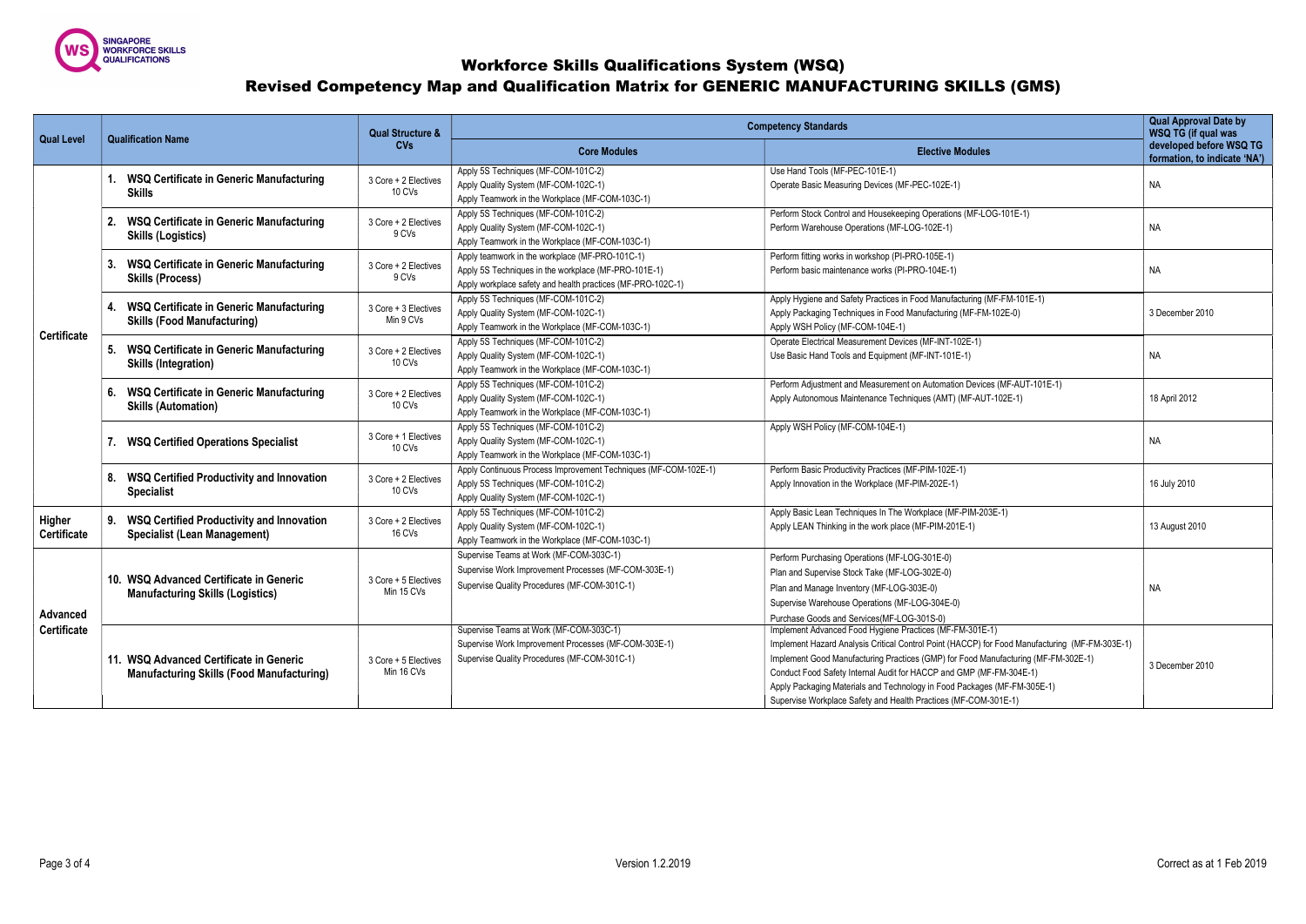

## Workforce Skills Qualifications System (WSQ) Revised Competency Map and Qualification Matrix for GENERIC MANUFACTURING SKILLS (GMS)

|                                |                                                                              |                                                                                                                                                                                                                                                               | <b>Qual Structure &amp;</b>                                                                                                    | <b>Competency Standards</b>                                                                                                                                            | <b>Qual Approval Date by</b><br>WSQ TG (if qual was                                                                                                                                                                                                                                                                                                                                                                                                                    |                                                         |
|--------------------------------|------------------------------------------------------------------------------|---------------------------------------------------------------------------------------------------------------------------------------------------------------------------------------------------------------------------------------------------------------|--------------------------------------------------------------------------------------------------------------------------------|------------------------------------------------------------------------------------------------------------------------------------------------------------------------|------------------------------------------------------------------------------------------------------------------------------------------------------------------------------------------------------------------------------------------------------------------------------------------------------------------------------------------------------------------------------------------------------------------------------------------------------------------------|---------------------------------------------------------|
| <b>Qual Level</b>              |                                                                              | <b>Qualification Name</b>                                                                                                                                                                                                                                     | <b>CVs</b>                                                                                                                     | <b>Core Modules</b>                                                                                                                                                    | <b>Elective Modules</b>                                                                                                                                                                                                                                                                                                                                                                                                                                                | developed before WSQ TG<br>formation, to indicate 'NA') |
| <b>Certificate</b>             |                                                                              | <b>WSQ Certificate in Generic Manufacturing</b><br><b>Skills</b>                                                                                                                                                                                              | 3 Core + 2 Electives<br>10 CVs                                                                                                 | Apply 5S Techniques (MF-COM-101C-2)<br>Apply Quality System (MF-COM-102C-1)<br>Apply Teamwork in the Workplace (MF-COM-103C-1)                                         | Use Hand Tools (MF-PEC-101E-1)<br>Operate Basic Measuring Devices (MF-PEC-102E-1)                                                                                                                                                                                                                                                                                                                                                                                      | <b>NA</b>                                               |
|                                |                                                                              | <b>WSQ Certificate in Generic Manufacturing</b><br><b>Skills (Logistics)</b>                                                                                                                                                                                  | 3 Core + 2 Electives<br>9 CVs                                                                                                  | Apply 5S Techniques (MF-COM-101C-2)<br>Apply Quality System (MF-COM-102C-1)<br>Apply Teamwork in the Workplace (MF-COM-103C-1)                                         | Perform Stock Control and Housekeeping Operations (MF-LOG-101E-1)<br>Perform Warehouse Operations (MF-LOG-102E-1)                                                                                                                                                                                                                                                                                                                                                      | <b>NA</b>                                               |
|                                |                                                                              | <b>WSQ Certificate in Generic Manufacturing</b><br><b>Skills (Process)</b>                                                                                                                                                                                    | 3 Core + 2 Electives<br>9 CVs                                                                                                  | Apply teamwork in the workplace (MF-PRO-101C-1)<br>Apply 5S Techniques in the workplace (MF-PRO-101E-1)<br>Apply workplace safety and health practices (MF-PRO-102C-1) | Perform fitting works in workshop (PI-PRO-105E-1)<br>Perform basic maintenance works (PI-PRO-104E-1)                                                                                                                                                                                                                                                                                                                                                                   | NA                                                      |
|                                |                                                                              | <b>WSQ Certificate in Generic Manufacturing</b><br><b>Skills (Food Manufacturing)</b>                                                                                                                                                                         | 3 Core + 3 Electives<br>Min 9 CVs                                                                                              | Apply 5S Techniques (MF-COM-101C-2)<br>Apply Quality System (MF-COM-102C-1)<br>Apply Teamwork in the Workplace (MF-COM-103C-1)                                         | Apply Hygiene and Safety Practices in Food Manufacturing (MF-FM-101E-1)<br>Apply Packaging Techniques in Food Manufacturing (MF-FM-102E-0)<br>Apply WSH Policy (MF-COM-104E-1)                                                                                                                                                                                                                                                                                         | 3 December 2010                                         |
|                                |                                                                              | <b>WSQ Certificate in Generic Manufacturing</b><br>5.<br><b>Skills (Integration)</b>                                                                                                                                                                          | 3 Core + 2 Electives<br>10 CVs                                                                                                 | Apply 5S Techniques (MF-COM-101C-2)<br>Apply Quality System (MF-COM-102C-1)<br>Apply Teamwork in the Workplace (MF-COM-103C-1)                                         | Operate Electrical Measurement Devices (MF-INT-102E-1)<br>Use Basic Hand Tools and Equipment (MF-INT-101E-1)                                                                                                                                                                                                                                                                                                                                                           | NА                                                      |
|                                |                                                                              | <b>WSQ Certificate in Generic Manufacturing</b><br>6.<br>3 Core + 2 Electives<br>10 CVs<br><b>Skills (Automation)</b>                                                                                                                                         |                                                                                                                                | Apply 5S Techniques (MF-COM-101C-2)<br>Apply Quality System (MF-COM-102C-1)<br>Apply Teamwork in the Workplace (MF-COM-103C-1)                                         | Perform Adjustment and Measurement on Automation Devices (MF-AUT-101E-1)<br>Apply Autonomous Maintenance Techniques (AMT) (MF-AUT-102E-1)                                                                                                                                                                                                                                                                                                                              | 18 April 2012                                           |
|                                | 3 Core + 1 Electives<br><b>WSQ Certified Operations Specialist</b><br>10 CVs |                                                                                                                                                                                                                                                               | Apply 5S Techniques (MF-COM-101C-2)<br>Apply Quality System (MF-COM-102C-1)<br>Apply Teamwork in the Workplace (MF-COM-103C-1) | Apply WSH Policy (MF-COM-104E-1)                                                                                                                                       | NА                                                                                                                                                                                                                                                                                                                                                                                                                                                                     |                                                         |
|                                |                                                                              | <b>WSQ Certified Productivity and Innovation</b><br>8.<br><b>Specialist</b>                                                                                                                                                                                   | 3 Core + 2 Electives<br>10 CVs                                                                                                 | Apply Continuous Process Improvement Techniques (MF-COM-102E-1)<br>Apply 5S Techniques (MF-COM-101C-2)<br>Apply Quality System (MF-COM-102C-1)                         | Perform Basic Productivity Practices (MF-PIM-102E-1)<br>Apply Innovation in the Workplace (MF-PIM-202E-1)                                                                                                                                                                                                                                                                                                                                                              | 16 July 2010                                            |
| Higher<br><b>Certificate</b>   |                                                                              | <b>WSQ Certified Productivity and Innovation</b><br>9.<br><b>Specialist (Lean Management)</b>                                                                                                                                                                 | 3 Core + 2 Electives<br>16 CVs                                                                                                 | Apply 5S Techniques (MF-COM-101C-2)<br>Apply Quality System (MF-COM-102C-1)<br>Apply Teamwork in the Workplace (MF-COM-103C-1)                                         | Apply Basic Lean Techniques In The Workplace (MF-PIM-203E-1)<br>Apply LEAN Thinking in the work place (MF-PIM-201E-1)                                                                                                                                                                                                                                                                                                                                                  | 13 August 2010                                          |
| Advanced<br><b>Certificate</b> |                                                                              | 10. WSQ Advanced Certificate in Generic<br>3 Core + 5 Electives<br>Min 15 CVs<br><b>Manufacturing Skills (Logistics)</b><br>11. WSQ Advanced Certificate in Generic<br>3 Core + 5 Electives<br>Min 16 CVs<br><b>Manufacturing Skills (Food Manufacturing)</b> |                                                                                                                                | Supervise Teams at Work (MF-COM-303C-1)<br>Supervise Work Improvement Processes (MF-COM-303E-1)<br>Supervise Quality Procedures (MF-COM-301C-1)                        | Perform Purchasing Operations (MF-LOG-301E-0)<br>Plan and Supervise Stock Take (MF-LOG-302E-0)<br>Plan and Manage Inventory (MF-LOG-303E-0)<br>Supervise Warehouse Operations (MF-LOG-304E-0)<br>Purchase Goods and Services(MF-LOG-301S-0)                                                                                                                                                                                                                            | NA                                                      |
|                                |                                                                              |                                                                                                                                                                                                                                                               |                                                                                                                                | Supervise Teams at Work (MF-COM-303C-1)<br>Supervise Work Improvement Processes (MF-COM-303E-1)<br>Supervise Quality Procedures (MF-COM-301C-1)                        | Implement Advanced Food Hygiene Practices (MF-FM-301E-1)<br>Implement Hazard Analysis Critical Control Point (HACCP) for Food Manufacturing (MF-FM-303E-1)<br>Implement Good Manufacturing Practices (GMP) for Food Manufacturing (MF-FM-302E-1)<br>Conduct Food Safety Internal Audit for HACCP and GMP (MF-FM-304E-1)<br>Apply Packaging Materials and Technology in Food Packages (MF-FM-305E-1)<br>Supervise Workplace Safety and Health Practices (MF-COM-301E-1) | 3 December 2010                                         |